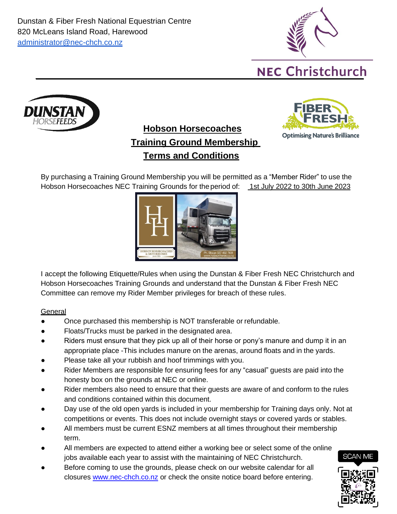Dunstan & Fiber Fresh National Equestrian Centre 820 McLeans Island Road, Harewood [administrator@nec-chch.co.nz](mailto:administrator@nec-chch.co.nz)





# **Hobson Horsecoaches Training Ground Membership Terms and Conditions**



By purchasing a Training Ground Membership you will be permitted as a "Member Rider" to use the Hobson Horsecoaches NEC Training Grounds for the period of: 1st July 2022 to 30th June 2023



I accept the following Etiquette/Rules when using the Dunstan & Fiber Fresh NEC Christchurch and Hobson Horsecoaches Training Grounds and understand that the Dunstan & Fiber Fresh NEC Committee can remove my Rider Member privileges for breach of these rules.

#### **General**

- Once purchased this membership is NOT transferable or refundable.
- Floats/Trucks must be parked in the designated area.
- Riders must ensure that they pick up all of their horse or pony's manure and dump it in an appropriate place -This includes manure on the arenas, around floats and in the yards.
- Please take all your rubbish and hoof trimmings with you.
- Rider Members are responsible for ensuring fees for any "casual" guests are paid into the honesty box on the grounds at NEC or online.
- Rider members also need to ensure that their guests are aware of and conform to the rules and conditions contained within this document.
- Day use of the old open yards is included in your membership for Training days only. Not at competitions or events. This does not include overnight stays or covered yards or stables.
- All members must be current ESNZ members at all times throughout their membership term.
- All members are expected to attend either a working bee or select some of the online jobs available each year to assist with the maintaining of NEC Christchurch.
- Before coming to use the grounds, please check on our website calendar for all closures [www.nec-chch.co.nz](http://www.nec-chch.co.nz/) or check the onsite notice board before entering.

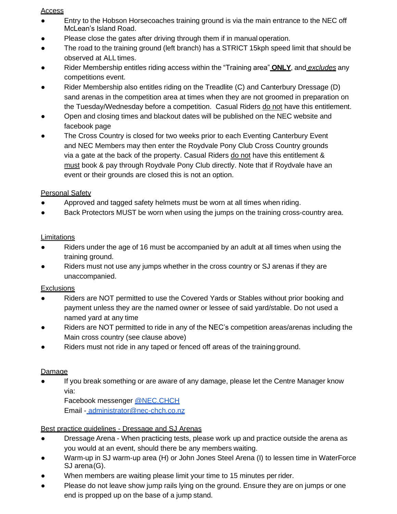#### Access

- Entry to the Hobson Horsecoaches training ground is via the main entrance to the NEC off McLean's Island Road.
- Please close the gates after driving through them if in manual operation.
- The road to the training ground (left branch) has a STRICT 15kph speed limit that should be observed at ALL times.
- Rider Membership entitles riding access within the "Training area" **ONLY**, and *excludes* any competitions event.
- Rider Membership also entitles riding on the Treadlite (C) and Canterbury Dressage (D) sand arenas in the competition area at times when they are not groomed in preparation on the Tuesday/Wednesday before a competition. Casual Riders do not have this entitlement.
- Open and closing times and blackout dates will be published on the NEC website and facebook page
- The Cross Country is closed for two weeks prior to each Eventing Canterbury Event and NEC Members may then enter the Roydvale Pony Club Cross Country grounds via a gate at the back of the property. Casual Riders do not have this entitlement & must book & pay through Roydvale Pony Club directly. Note that if Roydvale have an event or their grounds are closed this is not an option.

# **Personal Safety**

- Approved and tagged safety helmets must be worn at all times when riding.
- Back Protectors MUST be worn when using the jumps on the training cross-country area.

## **Limitations**

- Riders under the age of 16 must be accompanied by an adult at all times when using the training ground.
- Riders must not use any jumps whether in the cross country or SJ arenas if they are unaccompanied.

## **Exclusions**

- Riders are NOT permitted to use the Covered Yards or Stables without prior booking and payment unless they are the named owner or lessee of said yard/stable. Do not used a named yard at any time
- Riders are NOT permitted to ride in any of the NEC's competition areas/arenas including the Main cross country (see clause above)
- Riders must not ride in any taped or fenced off areas of the training ground.

## **Damage**

● If you break something or are aware of any damage, please let the Centre Manager know via:

Facebook messenger [@NEC.CHCH](https://www.facebook.com/NEC.CHCH/?ref=bookmarks) Email - [administrator@nec-chch.co.nz](mailto:administrator@nec-chch.co.nz)

# Best practice guidelines - Dressage and SJ Arenas

- Dressage Arena When practicing tests, please work up and practice outside the arena as you would at an event, should there be any members waiting.
- Warm-up in SJ warm-up area (H) or John Jones Steel Arena (I) to lessen time in WaterForce SJ arena(G).
- When members are waiting please limit your time to 15 minutes per rider.
- Please do not leave show jump rails lying on the ground. Ensure they are on jumps or one end is propped up on the base of a jump stand.